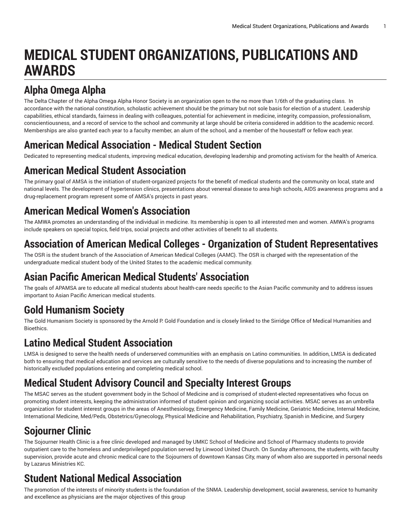# **MEDICAL STUDENT ORGANIZATIONS, PUBLICATIONS AND AWARDS**

## **Alpha Omega Alpha**

The Delta Chapter of the Alpha Omega Alpha Honor Society is an organization open to the no more than 1/6th of the graduating class. In accordance with the national constitution, scholastic achievement should be the primary but not sole basis for election of a student. Leadership capabilities, ethical standards, fairness in dealing with colleagues, potential for achievement in medicine, integrity, compassion, professionalism, conscientiousness, and a record of service to the school and community at large should be criteria considered in addition to the academic record. Memberships are also granted each year to a faculty member, an alum of the school, and a member of the housestaff or fellow each year.

## **American Medical Association - Medical Student Section**

Dedicated to representing medical students, improving medical education, developing leadership and promoting activism for the health of America.

## **American Medical Student Association**

The primary goal of AMSA is the initiation of student-organized projects for the benefit of medical students and the community on local, state and national levels. The development of hypertension clinics, presentations about venereal disease to area high schools, AIDS awareness programs and a drug-replacement program represent some of AMSA's projects in past years.

## **American Medical Women's Association**

The AMWA promotes an understanding of the individual in medicine. Its membership is open to all interested men and women. AMWA's programs include speakers on special topics, field trips, social projects and other activities of benefit to all students.

## **Association of American Medical Colleges - Organization of Student Representatives**

The OSR is the student branch of the Association of American Medical Colleges (AAMC). The OSR is charged with the representation of the undergraduate medical student body of the United States to the academic medical community.

### **Asian Pacific American Medical Students' Association**

The goals of APAMSA are to educate all medical students about health-care needs specific to the Asian Pacific community and to address issues important to Asian Pacific American medical students.

### **Gold Humanism Society**

The Gold Humanism Society is sponsored by the Arnold P. Gold Foundation and is closely linked to the Sirridge Office of Medical Humanities and Bioethics.

## **Latino Medical Student Association**

LMSA is designed to serve the health needs of underserved communities with an emphasis on Latino communities. In addition, LMSA is dedicated both to ensuring that medical education and services are culturally sensitive to the needs of diverse populations and to increasing the number of historically excluded populations entering and completing medical school.

## **Medical Student Advisory Council and Specialty Interest Groups**

The MSAC serves as the student government body in the School of Medicine and is comprised of student-elected representatives who focus on promoting student interests, keeping the administration informed of student opinion and organizing social activities. MSAC serves as an umbrella organization for student interest groups in the areas of Anesthesiology, Emergency Medicine, Family Medicine, Geriatric Medicine, Internal Medicine, International Medicine, Med/Peds, Obstetrics/Gynecology, Physical Medicine and Rehabilitation, Psychiatry, Spanish in Medicine, and Surgery

## **Sojourner Clinic**

The Sojourner Health Clinic is a free clinic developed and managed by UMKC School of Medicine and School of Pharmacy students to provide outpatient care to the homeless and underprivileged population served by Linwood United Church. On Sunday afternoons, the students, with faculty supervision, provide acute and chronic medical care to the Sojourners of downtown Kansas City, many of whom also are supported in personal needs by Lazarus Ministries KC.

## **Student National Medical Association**

The promotion of the interests of minority students is the foundation of the SNMA. Leadership development, social awareness, service to humanity and excellence as physicians are the major objectives of this group